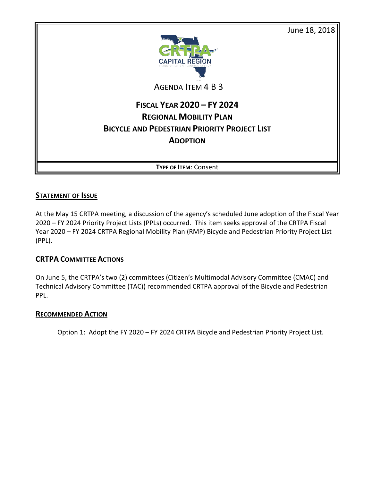June 18, 2018



AGENDA ITEM 4 B 3

# **FISCAL YEAR 2020 – FY 2024 REGIONAL MOBILITY PLAN BICYCLE AND PEDESTRIAN PRIORITY PROJECT LIST ADOPTION**

**TYPE OF ITEM**: Consent

## **STATEMENT OF ISSUE**

At the May 15 CRTPA meeting, a discussion of the agency's scheduled June adoption of the Fiscal Year 2020 – FY 2024 Priority Project Lists (PPLs) occurred. This item seeks approval of the CRTPA Fiscal Year 2020 – FY 2024 CRTPA Regional Mobility Plan (RMP) Bicycle and Pedestrian Priority Project List (PPL).

### **CRTPA COMMITTEE ACTIONS**

On June 5, the CRTPA's two (2) committees (Citizen's Multimodal Advisory Committee (CMAC) and Technical Advisory Committee (TAC)) recommended CRTPA approval of the Bicycle and Pedestrian PPL.

#### **RECOMMENDED ACTION**

Option 1: Adopt the FY 2020 – FY 2024 CRTPA Bicycle and Pedestrian Priority Project List.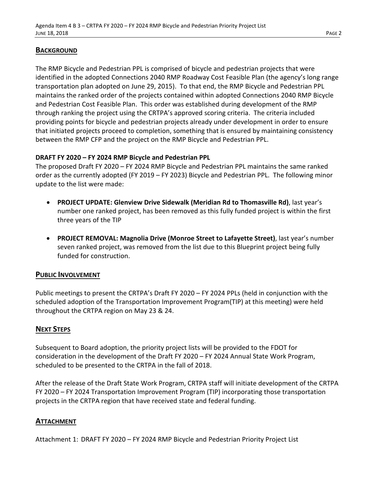#### **BACKGROUND**

The RMP Bicycle and Pedestrian PPL is comprised of bicycle and pedestrian projects that were identified in the adopted Connections 2040 RMP Roadway Cost Feasible Plan (the agency's long range transportation plan adopted on June 29, 2015). To that end, the RMP Bicycle and Pedestrian PPL maintains the ranked order of the projects contained within adopted Connections 2040 RMP Bicycle and Pedestrian Cost Feasible Plan. This order was established during development of the RMP through ranking the project using the CRTPA's approved scoring criteria. The criteria included providing points for bicycle and pedestrian projects already under development in order to ensure that initiated projects proceed to completion, something that is ensured by maintaining consistency between the RMP CFP and the project on the RMP Bicycle and Pedestrian PPL.

#### **DRAFT FY 2020 – FY 2024 RMP Bicycle and Pedestrian PPL**

The proposed Draft FY 2020 – FY 2024 RMP Bicycle and Pedestrian PPL maintains the same ranked order as the currently adopted (FY 2019 – FY 2023) Bicycle and Pedestrian PPL. The following minor update to the list were made:

- **PROJECT UPDATE: Glenview Drive Sidewalk (Meridian Rd to Thomasville Rd)**, last year's number one ranked project, has been removed as this fully funded project is within the first three years of the TIP
- **PROJECT REMOVAL: Magnolia Drive (Monroe Street to Lafayette Street)**, last year's number seven ranked project, was removed from the list due to this Blueprint project being fully funded for construction.

### **PUBLIC INVOLVEMENT**

Public meetings to present the CRTPA's Draft FY 2020 – FY 2024 PPLs (held in conjunction with the scheduled adoption of the Transportation Improvement Program(TIP) at this meeting) were held throughout the CRTPA region on May 23 & 24.

### **NEXT STEPS**

Subsequent to Board adoption, the priority project lists will be provided to the FDOT for consideration in the development of the Draft FY 2020 – FY 2024 Annual State Work Program, scheduled to be presented to the CRTPA in the fall of 2018.

After the release of the Draft State Work Program, CRTPA staff will initiate development of the CRTPA FY 2020 – FY 2024 Transportation Improvement Program (TIP) incorporating those transportation projects in the CRTPA region that have received state and federal funding.

#### **ATTACHMENT**

Attachment 1: DRAFT FY 2020 – FY 2024 RMP Bicycle and Pedestrian Priority Project List